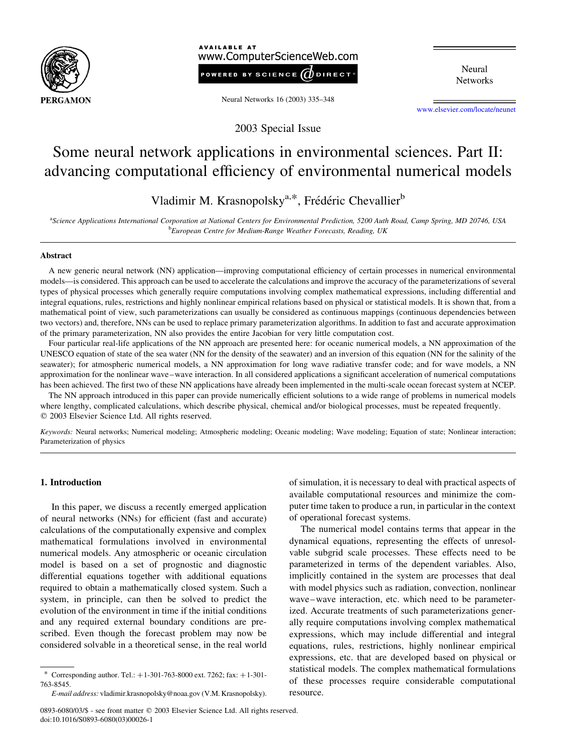



Neural Networks 16 (2003) 335–348

Neural **Networks** 

[www.elsevier.com/locate/neunet](http://www.elsevier.com/locate/neunet)

2003 Special Issue

# Some neural network applications in environmental sciences. Part II: advancing computational efficiency of environmental numerical models

# Vladimir M. Krasnopolsky<sup>a,\*</sup>, Frédéric Chevallier<sup>b</sup>

a<br>Acience Applications International Corporation at National Centers for Environmental Prediction, 5200 Auth Road, Camp Spring, MD 20746, USA **bEuropean Centre for Medium-Range Weather Forecasts, Reading, UK** 

#### Abstract

A new generic neural network (NN) application—improving computational efficiency of certain processes in numerical environmental models—is considered. This approach can be used to accelerate the calculations and improve the accuracy of the parameterizations of several types of physical processes which generally require computations involving complex mathematical expressions, including differential and integral equations, rules, restrictions and highly nonlinear empirical relations based on physical or statistical models. It is shown that, from a mathematical point of view, such parameterizations can usually be considered as continuous mappings (continuous dependencies between two vectors) and, therefore, NNs can be used to replace primary parameterization algorithms. In addition to fast and accurate approximation of the primary parameterization, NN also provides the entire Jacobian for very little computation cost.

Four particular real-life applications of the NN approach are presented here: for oceanic numerical models, a NN approximation of the UNESCO equation of state of the sea water (NN for the density of the seawater) and an inversion of this equation (NN for the salinity of the seawater); for atmospheric numerical models, a NN approximation for long wave radiative transfer code; and for wave models, a NN approximation for the nonlinear wave–wave interaction. In all considered applications a significant acceleration of numerical computations has been achieved. The first two of these NN applications have already been implemented in the multi-scale ocean forecast system at NCEP.

The NN approach introduced in this paper can provide numerically efficient solutions to a wide range of problems in numerical models where lengthy, complicated calculations, which describe physical, chemical and/or biological processes, must be repeated frequently.  $© 2003 Elsevier Science Ltd. All rights reserved.$ 

Keywords: Neural networks; Numerical modeling; Atmospheric modeling; Oceanic modeling; Wave modeling; Equation of state; Nonlinear interaction; Parameterization of physics

### 1. Introduction

In this paper, we discuss a recently emerged application of neural networks (NNs) for efficient (fast and accurate) calculations of the computationally expensive and complex mathematical formulations involved in environmental numerical models. Any atmospheric or oceanic circulation model is based on a set of prognostic and diagnostic differential equations together with additional equations required to obtain a mathematically closed system. Such a system, in principle, can then be solved to predict the evolution of the environment in time if the initial conditions and any required external boundary conditions are prescribed. Even though the forecast problem may now be considered solvable in a theoretical sense, in the real world

of simulation, it is necessary to deal with practical aspects of available computational resources and minimize the computer time taken to produce a run, in particular in the context of operational forecast systems.

The numerical model contains terms that appear in the dynamical equations, representing the effects of unresolvable subgrid scale processes. These effects need to be parameterized in terms of the dependent variables. Also, implicitly contained in the system are processes that deal with model physics such as radiation, convection, nonlinear wave–wave interaction, etc. which need to be parameterized. Accurate treatments of such parameterizations generally require computations involving complex mathematical expressions, which may include differential and integral equations, rules, restrictions, highly nonlinear empirical expressions, etc. that are developed based on physical or statistical models. The complex mathematical formulations of these processes require considerable computational resource.

<sup>\*</sup> Corresponding author. Tel.:  $+1-301-763-8000$  ext. 7262; fax:  $+1-301-$ 763-8545.

E-mail address: vladimir.krasnopolsky@noaa.gov (V.M. Krasnopolsky).

<sup>0893-6080/03/\$ -</sup> see front matter © 2003 Elsevier Science Ltd. All rights reserved. doi:10.1016/S0893-6080(03)00026-1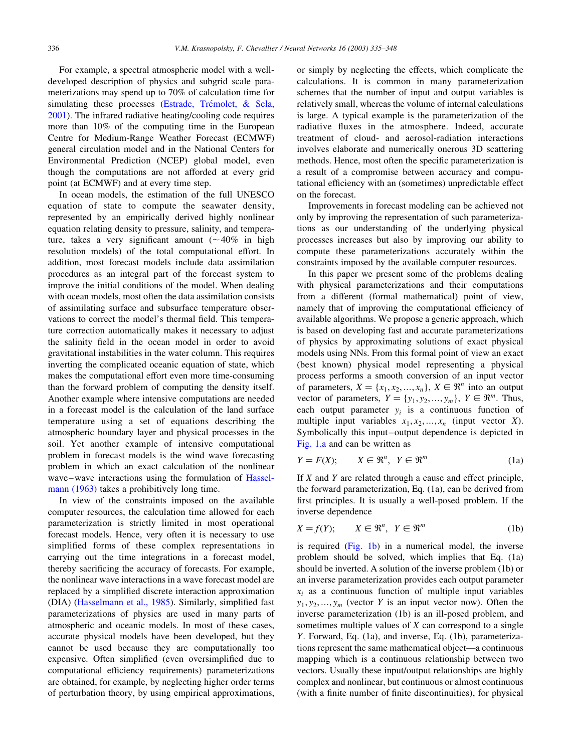For example, a spectral atmospheric model with a welldeveloped description of physics and subgrid scale parameterizations may spend up to 70% of calculation time for simulating these processes (Estrade, Trémolet, & Sela, [2001\)](#page-13-0). The infrared radiative heating/cooling code requires more than 10% of the computing time in the European Centre for Medium-Range Weather Forecast (ECMWF) general circulation model and in the National Centers for Environmental Prediction (NCEP) global model, even though the computations are not afforded at every grid point (at ECMWF) and at every time step.

In ocean models, the estimation of the full UNESCO equation of state to compute the seawater density, represented by an empirically derived highly nonlinear equation relating density to pressure, salinity, and temperature, takes a very significant amount  $(\sim 40\%$  in high resolution models) of the total computational effort. In addition, most forecast models include data assimilation procedures as an integral part of the forecast system to improve the initial conditions of the model. When dealing with ocean models, most often the data assimilation consists of assimilating surface and subsurface temperature observations to correct the model's thermal field. This temperature correction automatically makes it necessary to adjust the salinity field in the ocean model in order to avoid gravitational instabilities in the water column. This requires inverting the complicated oceanic equation of state, which makes the computational effort even more time-consuming than the forward problem of computing the density itself. Another example where intensive computations are needed in a forecast model is the calculation of the land surface temperature using a set of equations describing the atmospheric boundary layer and physical processes in the soil. Yet another example of intensive computational problem in forecast models is the wind wave forecasting problem in which an exact calculation of the nonlinear wave–wave interactions using the formulation of [Hassel](#page-13-0)[mann \(1963\)](#page-13-0) takes a prohibitively long time.

In view of the constraints imposed on the available computer resources, the calculation time allowed for each parameterization is strictly limited in most operational forecast models. Hence, very often it is necessary to use simplified forms of these complex representations in carrying out the time integrations in a forecast model, thereby sacrificing the accuracy of forecasts. For example, the nonlinear wave interactions in a wave forecast model are replaced by a simplified discrete interaction approximation (DIA) ([Hasselmann et al., 1985\)](#page-13-0). Similarly, simplified fast parameterizations of physics are used in many parts of atmospheric and oceanic models. In most of these cases, accurate physical models have been developed, but they cannot be used because they are computationally too expensive. Often simplified (even oversimplified due to computational efficiency requirements) parameterizations are obtained, for example, by neglecting higher order terms of perturbation theory, by using empirical approximations,

or simply by neglecting the effects, which complicate the calculations. It is common in many parameterization schemes that the number of input and output variables is relatively small, whereas the volume of internal calculations is large. A typical example is the parameterization of the radiative fluxes in the atmosphere. Indeed, accurate treatment of cloud- and aerosol-radiation interactions involves elaborate and numerically onerous 3D scattering methods. Hence, most often the specific parameterization is a result of a compromise between accuracy and computational efficiency with an (sometimes) unpredictable effect on the forecast.

Improvements in forecast modeling can be achieved not only by improving the representation of such parameterizations as our understanding of the underlying physical processes increases but also by improving our ability to compute these parameterizations accurately within the constraints imposed by the available computer resources.

In this paper we present some of the problems dealing with physical parameterizations and their computations from a different (formal mathematical) point of view, namely that of improving the computational efficiency of available algorithms. We propose a generic approach, which is based on developing fast and accurate parameterizations of physics by approximating solutions of exact physical models using NNs. From this formal point of view an exact (best known) physical model representing a physical process performs a smooth conversion of an input vector of parameters,  $X = \{x_1, x_2, ..., x_n\}$ ,  $X \in \mathbb{R}^n$  into an output vector of parameters,  $Y = \{y_1, y_2, ..., y_m\}$ ,  $Y \in \mathbb{R}^m$ . Thus, each output parameter  $y_i$  is a continuous function of multiple input variables  $x_1, x_2, ..., x_n$  (input vector X). Symbolically this input–output dependence is depicted in [Fig. 1.a](#page-2-0) and can be written as

$$
Y = F(X); \qquad X \in \mathbb{R}^n, \ Y \in \mathbb{R}^m \tag{1a}
$$

If  $X$  and  $Y$  are related through a cause and effect principle, the forward parameterization, Eq. (1a), can be derived from first principles. It is usually a well-posed problem. If the inverse dependence

$$
X = f(Y); \qquad X \in \mathbb{R}^n, \ Y \in \mathbb{R}^m \tag{1b}
$$

is required [\(Fig. 1b\)](#page-2-0) in a numerical model, the inverse problem should be solved, which implies that Eq. (1a) should be inverted. A solution of the inverse problem (1b) or an inverse parameterization provides each output parameter  $x_i$  as a continuous function of multiple input variables  $y_1, y_2, \ldots, y_m$  (vector Y is an input vector now). Often the inverse parameterization (1b) is an ill-posed problem, and sometimes multiple values of X can correspond to a single Y: Forward, Eq. (1a), and inverse, Eq. (1b), parameterizations represent the same mathematical object—a continuous mapping which is a continuous relationship between two vectors. Usually these input/output relationships are highly complex and nonlinear, but continuous or almost continuous (with a finite number of finite discontinuities), for physical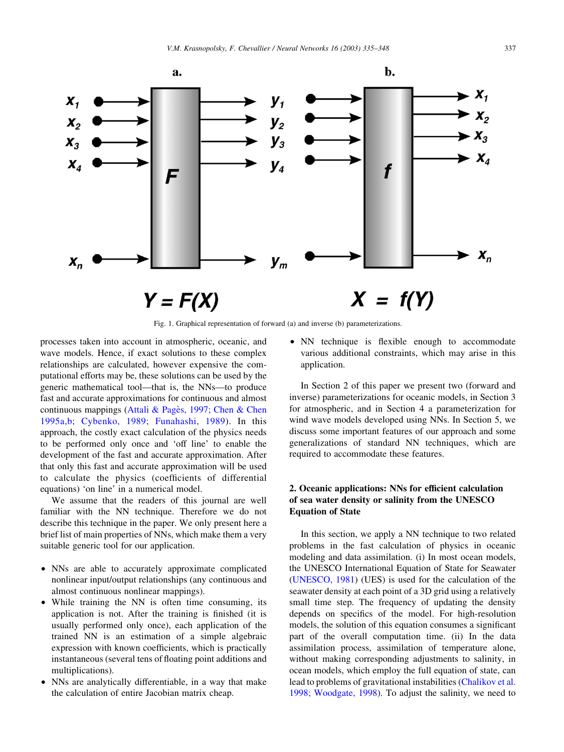<span id="page-2-0"></span>

Fig. 1. Graphical representation of forward (a) and inverse (b) parameterizations.

processes taken into account in atmospheric, oceanic, and wave models. Hence, if exact solutions to these complex relationships are calculated, however expensive the computational efforts may be, these solutions can be used by the generic mathematical tool—that is, the NNs—to produce fast and accurate approximations for continuous and almost continuous mappings (Attali & Pagès, 1997; Chen & Chen [1995a,b; Cybenko, 1989; Funahashi, 1989\)](#page-12-0). In this approach, the costly exact calculation of the physics needs to be performed only once and 'off line' to enable the development of the fast and accurate approximation. After that only this fast and accurate approximation will be used to calculate the physics (coefficients of differential equations) 'on line' in a numerical model.

We assume that the readers of this journal are well familiar with the NN technique. Therefore we do not describe this technique in the paper. We only present here a brief list of main properties of NNs, which make them a very suitable generic tool for our application.

- NNs are able to accurately approximate complicated nonlinear input/output relationships (any continuous and almost continuous nonlinear mappings).
- While training the NN is often time consuming, its application is not. After the training is finished (it is usually performed only once), each application of the trained NN is an estimation of a simple algebraic expression with known coefficients, which is practically instantaneous (several tens of floating point additions and multiplications).
- † NNs are analytically differentiable, in a way that make the calculation of entire Jacobian matrix cheap.

• NN technique is flexible enough to accommodate various additional constraints, which may arise in this application.

In Section 2 of this paper we present two (forward and inverse) parameterizations for oceanic models, in Section 3 for atmospheric, and in Section 4 a parameterization for wind wave models developed using NNs. In Section 5, we discuss some important features of our approach and some generalizations of standard NN techniques, which are required to accommodate these features.

# 2. Oceanic applications: NNs for efficient calculation of sea water density or salinity from the UNESCO Equation of State

In this section, we apply a NN technique to two related problems in the fast calculation of physics in oceanic modeling and data assimilation. (i) In most ocean models, the UNESCO International Equation of State for Seawater ([UNESCO, 1981\)](#page-13-0) (UES) is used for the calculation of the seawater density at each point of a 3D grid using a relatively small time step. The frequency of updating the density depends on specifics of the model. For high-resolution models, the solution of this equation consumes a significant part of the overall computation time. (ii) In the data assimilation process, assimilation of temperature alone, without making corresponding adjustments to salinity, in ocean models, which employ the full equation of state, can lead to problems of gravitational instabilities [\(Chalikov et al.](#page-12-0) [1998; Woodgate, 1998](#page-12-0)). To adjust the salinity, we need to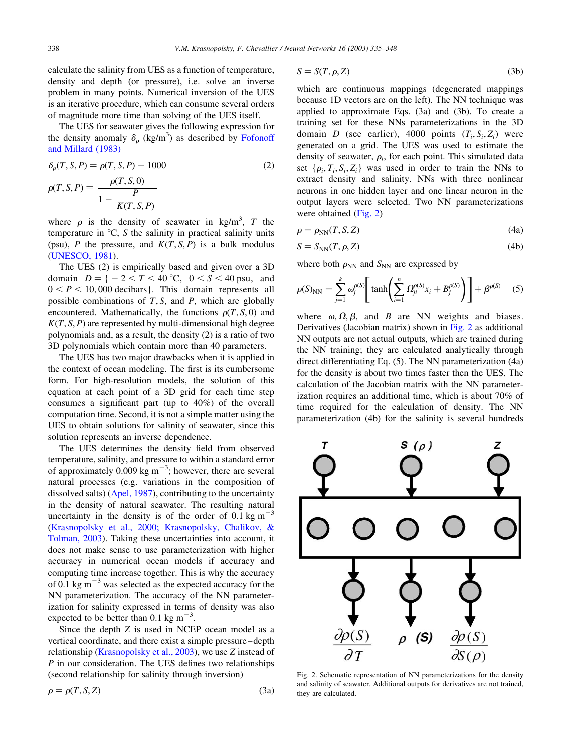<span id="page-3-0"></span>calculate the salinity from UES as a function of temperature, density and depth (or pressure), i.e. solve an inverse problem in many points. Numerical inversion of the UES is an iterative procedure, which can consume several orders of magnitude more time than solving of the UES itself.

The UES for seawater gives the following expression for the density anomaly  $\delta_{\rho}$  (kg/m<sup>3</sup>) as described by [Fofonoff](#page-13-0) [and Millard \(1983\)](#page-13-0)

$$
\delta_{\rho}(T, S, P) = \rho(T, S, P) - 1000
$$
\n
$$
\rho(T, S, P) = \frac{\rho(T, S, 0)}{P}
$$
\n
$$
1 - \frac{P}{K(T, S, P)}
$$
\n(2)

where  $\rho$  is the density of seawater in kg/m<sup>3</sup>, T the temperature in  $\mathcal{C}$ . S the salinity in practical salinity units (psu), P the pressure, and  $K(T, S, P)$  is a bulk modulus ([UNESCO, 1981](#page-13-0)).

The UES (2) is empirically based and given over a 3D domain  $D = \{-2 < T < 40 \,^{\circ}\text{C}, \, 0 < S < 40 \,\text{psu}, \, \text{and} \,$  $0 < P < 10,000$  decibars}. This domain represents all possible combinations of  $T$ ,  $S$ , and  $P$ , which are globally encountered. Mathematically, the functions  $\rho(T, S, 0)$  and  $K(T, S, P)$  are represented by multi-dimensional high degree polynomials and, as a result, the density (2) is a ratio of two 3D polynomials which contain more than 40 parameters.

The UES has two major drawbacks when it is applied in the context of ocean modeling. The first is its cumbersome form. For high-resolution models, the solution of this equation at each point of a 3D grid for each time step consumes a significant part (up to 40%) of the overall computation time. Second, it is not a simple matter using the UES to obtain solutions for salinity of seawater, since this solution represents an inverse dependence.

The UES determines the density field from observed temperature, salinity, and pressure to within a standard error of approximately  $0.009 \text{ kg m}^{-3}$ ; however, there are several natural processes (e.g. variations in the composition of dissolved salts) [\(Apel, 1987](#page-12-0)), contributing to the uncertainty in the density of natural seawater. The resulting natural uncertainty in the density is of the order of 0.1 kg  $m^{-3}$ ([Krasnopolsky et al., 2000; Krasnopolsky, Chalikov, &](#page-13-0) [Tolman, 2003\)](#page-13-0). Taking these uncertainties into account, it does not make sense to use parameterization with higher accuracy in numerical ocean models if accuracy and computing time increase together. This is why the accuracy of 0.1 kg  $\text{m}^{-3}$  was selected as the expected accuracy for the NN parameterization. The accuracy of the NN parameterization for salinity expressed in terms of density was also expected to be better than 0.1 kg  $m^{-3}$ .

Since the depth Z is used in NCEP ocean model as a vertical coordinate, and there exist a simple pressure–depth relationship [\(Krasnopolsky et al., 2003](#page-13-0)), we use Z instead of P in our consideration. The UES defines two relationships (second relationship for salinity through inversion)

$$
\rho = \rho(T, S, Z) \tag{3a}
$$

$$
S = S(T, \rho, Z) \tag{3b}
$$

which are continuous mappings (degenerated mappings because 1D vectors are on the left). The NN technique was applied to approximate Eqs. (3a) and (3b). To create a training set for these NNs parameterizations in the 3D domain D (see earlier), 4000 points  $(T_i, S_i, Z_i)$  were generated on a grid. The UES was used to estimate the density of seawater,  $\rho_i$ , for each point. This simulated data set  $\{\rho_i, T_i, S_i, Z_i\}$  was used in order to train the NNs to extract density and salinity. NNs with three nonlinear neurons in one hidden layer and one linear neuron in the output layers were selected. Two NN parameterizations were obtained (Fig. 2)

$$
\rho = \rho_{NN}(T, S, Z) \tag{4a}
$$

$$
S = S_{NN}(T, \rho, Z) \tag{4b}
$$

where both  $\rho_{NN}$  and  $S_{NN}$  are expressed by

$$
\rho(S)_{NN} = \sum_{j=1}^{k} \omega_j^{\rho(S)} \left[ \tanh \left( \sum_{i=1}^{n} \Omega_{ji}^{\rho(S)} x_i + B_j^{\rho(S)} \right) \right] + \beta^{\rho(S)} \quad (5)
$$

where  $\omega$ ,  $\Omega$ ,  $\beta$ , and B are NN weights and biases. Derivatives (Jacobian matrix) shown in Fig. 2 as additional NN outputs are not actual outputs, which are trained during the NN training; they are calculated analytically through direct differentiating Eq. (5). The NN parameterization (4a) for the density is about two times faster then the UES. The calculation of the Jacobian matrix with the NN parameterization requires an additional time, which is about 70% of time required for the calculation of density. The NN parameterization (4b) for the salinity is several hundreds



Fig. 2. Schematic representation of NN parameterizations for the density and salinity of seawater. Additional outputs for derivatives are not trained, they are calculated.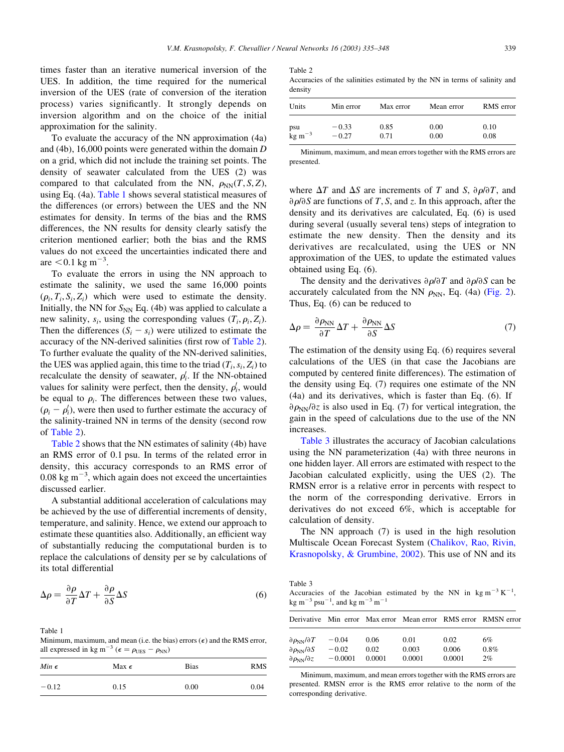<span id="page-4-0"></span>times faster than an iterative numerical inversion of the UES. In addition, the time required for the numerical inversion of the UES (rate of conversion of the iteration process) varies significantly. It strongly depends on inversion algorithm and on the choice of the initial approximation for the salinity.

To evaluate the accuracy of the NN approximation (4a) and (4b), 16,000 points were generated within the domain D on a grid, which did not include the training set points. The density of seawater calculated from the UES (2) was compared to that calculated from the NN,  $\rho_{NN}(T, S, Z)$ , using Eq. (4a). Table 1 shows several statistical measures of the differences (or errors) between the UES and the NN estimates for density. In terms of the bias and the RMS differences, the NN results for density clearly satisfy the criterion mentioned earlier; both the bias and the RMS values do not exceed the uncertainties indicated there and are  $< 0.1$  kg m<sup>-3</sup>.

To evaluate the errors in using the NN approach to estimate the salinity, we used the same 16,000 points  $(\rho_i, T_i, S_i, Z_i)$  which were used to estimate the density. Initially, the NN for  $S_{NN}$  Eq. (4b) was applied to calculate a new salinity,  $s_i$ , using the corresponding values  $(T_i, \rho_i, Z_i)$ . Then the differences  $(S_i - s_i)$  were utilized to estimate the accuracy of the NN-derived salinities (first row of Table 2). To further evaluate the quality of the NN-derived salinities, the UES was applied again, this time to the triad  $(T_i, s_i, Z_i)$  to recalculate the density of seawater,  $\rho_i'$ . If the NN-obtained values for salinity were perfect, then the density,  $\rho_i'$ , would be equal to  $\rho_i$ . The differences between these two values,  $(\rho_i - \rho'_i)$ , were then used to further estimate the accuracy of the salinity-trained NN in terms of the density (second row of Table 2).

Table 2 shows that the NN estimates of salinity (4b) have an RMS error of 0.1 psu. In terms of the related error in density, this accuracy corresponds to an RMS error of  $0.08 \text{ kg m}^{-3}$ , which again does not exceed the uncertainties discussed earlier.

A substantial additional acceleration of calculations may be achieved by the use of differential increments of density, temperature, and salinity. Hence, we extend our approach to estimate these quantities also. Additionally, an efficient way of substantially reducing the computational burden is to replace the calculations of density per se by calculations of its total differential

$$
\Delta \rho = \frac{\partial \rho}{\partial T} \Delta T + \frac{\partial \rho}{\partial S} \Delta S \tag{6}
$$

Table 1 Minimum, maximum, and mean (i.e. the bias) errors  $(\epsilon)$  and the RMS error, all expressed in kg m<sup>-3</sup> ( $\epsilon = \rho_{\text{UES}} - \rho_{\text{NN}}$ )

| Min $\epsilon$ | Max $\epsilon$ | <b>Bias</b> | <b>RMS</b> |
|----------------|----------------|-------------|------------|
| $-0.12$        | 0.15           | 0.00        | 0.04       |

Table 2

Accuracies of the salinities estimated by the NN in terms of salinity and density

| Units                       | Min error | Max error | Mean error | RMS error |
|-----------------------------|-----------|-----------|------------|-----------|
|                             | $-0.33$   | 0.85      | 0.00       | 0.10      |
| $psu$<br>kg m <sup>-3</sup> | $-0.27$   | 0.71      | 0.00       | 0.08      |

Minimum, maximum, and mean errors together with the RMS errors are presented.

where  $\Delta T$  and  $\Delta S$  are increments of T and S,  $\partial \rho / \partial T$ , and  $\partial \rho / \partial S$  are functions of T, S, and z. In this approach, after the density and its derivatives are calculated, Eq. (6) is used during several (usually several tens) steps of integration to estimate the new density. Then the density and its derivatives are recalculated, using the UES or NN approximation of the UES, to update the estimated values obtained using Eq. (6).

The density and the derivatives  $\partial \rho / \partial T$  and  $\partial \rho / \partial S$  can be accurately calculated from the NN  $\rho_{NN}$ , Eq. (4a) [\(Fig. 2\)](#page-3-0). Thus, Eq. (6) can be reduced to

$$
\Delta \rho = \frac{\partial \rho_{\rm NN}}{\partial T} \Delta T + \frac{\partial \rho_{\rm NN}}{\partial S} \Delta S \tag{7}
$$

The estimation of the density using Eq. (6) requires several calculations of the UES (in that case the Jacobians are computed by centered finite differences). The estimation of the density using Eq. (7) requires one estimate of the NN (4a) and its derivatives, which is faster than Eq. (6). If  $\partial \rho_{NN}/\partial z$  is also used in Eq. (7) for vertical integration, the gain in the speed of calculations due to the use of the NN increases.

Table 3 illustrates the accuracy of Jacobian calculations using the NN parameterization (4a) with three neurons in one hidden layer. All errors are estimated with respect to the Jacobian calculated explicitly, using the UES (2). The RMSN error is a relative error in percents with respect to the norm of the corresponding derivative. Errors in derivatives do not exceed 6%, which is acceptable for calculation of density.

The NN approach (7) is used in the high resolution Multiscale Ocean Forecast System ([Chalikov, Rao, Rivin,](#page-12-0) [Krasnopolsky, & Grumbine, 2002](#page-12-0)). This use of NN and its

Table 3

Accuracies of the Jacobian estimated by the NN in  $\text{kg m}^{-3} \text{ K}^{-1}$ ,  $kg \, \text{m}^{-3} \, \text{psu}^{-1}$ , and  $kg \, \text{m}^{-3} \, \text{m}^{-1}$ 

|                                 |           |        |        |        | Derivative Min error Max error Mean error RMS error RMSN error |
|---------------------------------|-----------|--------|--------|--------|----------------------------------------------------------------|
| $\partial \rho_{NN}/\partial T$ | $-0.04$   | 0.06   | 0.01   | 0.02   | 6%                                                             |
| $\partial \rho_{NN}/\partial S$ | $-0.02$   | 0.02   | 0.003  | 0.006  | 0.8%                                                           |
| $\partial \rho_{NN}/\partial z$ | $-0.0001$ | 0.0001 | 0.0001 | 0.0001 | 2%                                                             |

Minimum, maximum, and mean errors together with the RMS errors are presented. RMSN error is the RMS error relative to the norm of the corresponding derivative.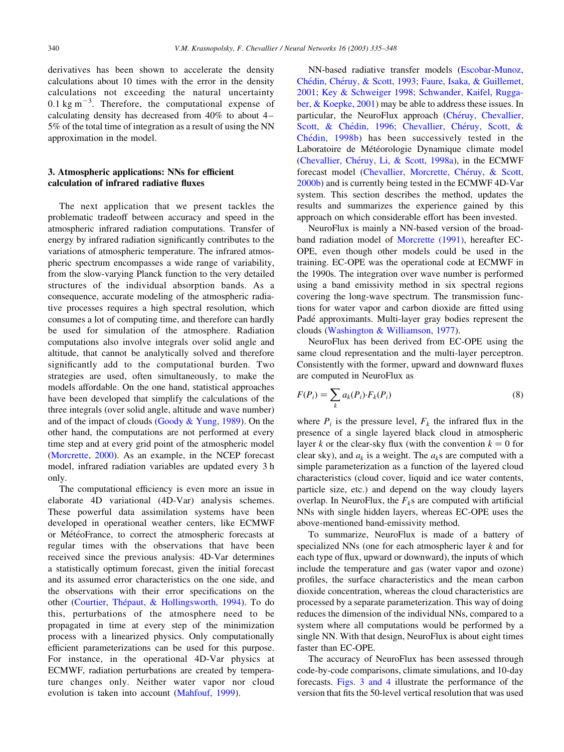derivatives has been shown to accelerate the density calculations about 10 times with the error in the density calculations not exceeding the natural uncertainty 0.1 kg m<sup> $-3$ </sup>. Therefore, the computational expense of calculating density has decreased from 40% to about 4– 5% of the total time of integration as a result of using the NN approximation in the model.

# 3. Atmospheric applications: NNs for efficient calculation of infrared radiative fluxes

The next application that we present tackles the problematic tradeoff between accuracy and speed in the atmospheric infrared radiation computations. Transfer of energy by infrared radiation significantly contributes to the variations of atmospheric temperature. The infrared atmospheric spectrum encompasses a wide range of variability, from the slow-varying Planck function to the very detailed structures of the individual absorption bands. As a consequence, accurate modeling of the atmospheric radiative processes requires a high spectral resolution, which consumes a lot of computing time, and therefore can hardly be used for simulation of the atmosphere. Radiation computations also involve integrals over solid angle and altitude, that cannot be analytically solved and therefore significantly add to the computational burden. Two strategies are used, often simultaneously, to make the models affordable. On the one hand, statistical approaches have been developed that simplify the calculations of the three integrals (over solid angle, altitude and wave number) and of the impact of clouds ([Goody & Yung, 1989](#page-13-0)). On the other hand, the computations are not performed at every time step and at every grid point of the atmospheric model ([Morcrette, 2000](#page-13-0)). As an example, in the NCEP forecast model, infrared radiation variables are updated every 3 h only.

The computational efficiency is even more an issue in elaborate 4D variational (4D-Var) analysis schemes. These powerful data assimilation systems have been developed in operational weather centers, like ECMWF or MétéoFrance, to correct the atmospheric forecasts at regular times with the observations that have been received since the previous analysis: 4D-Var determines a statistically optimum forecast, given the initial forecast and its assumed error characteristics on the one side, and the observations with their error specifications on the other (Courtier, Thépaut, & Hollingsworth, 1994). To do this, perturbations of the atmosphere need to be propagated in time at every step of the minimization process with a linearized physics. Only computationally efficient parameterizations can be used for this purpose. For instance, in the operational 4D-Var physics at ECMWF, radiation perturbations are created by temperature changes only. Neither water vapor nor cloud evolution is taken into account ([Mahfouf, 1999](#page-13-0)).

NN-based radiative transfer models [\(Escobar-Munoz,](#page-13-0) Chédin, Chéruy, & Scott, 1993; Faure, Isaka, & Guillemet, [2001; Key & Schweiger 1998; Schwander, Kaifel, Rugga](#page-13-0)[ber, & Koepke, 2001\)](#page-13-0) may be able to address these issues. In particular, the NeuroFlux approach (Chéruy, Chevallier, Scott, & Chédin, 1996; Chevallier, Chéruy, Scott, & Chédin, 1998b) has been successively tested in the Laboratoire de Météorologie Dynamique climate model (Chevallier, Chéruy, Li, & Scott, 1998a), in the ECMWF forecast model (Chevallier, Morcrette, Chéruy, & Scott, [2000b\)](#page-12-0) and is currently being tested in the ECMWF 4D-Var system. This section describes the method, updates the results and summarizes the experience gained by this approach on which considerable effort has been invested.

NeuroFlux is mainly a NN-based version of the broadband radiation model of [Morcrette \(1991\),](#page-13-0) hereafter EC-OPE, even though other models could be used in the training. EC-OPE was the operational code at ECMWF in the 1990s. The integration over wave number is performed using a band emissivity method in six spectral regions covering the long-wave spectrum. The transmission functions for water vapor and carbon dioxide are fitted using Padé approximants. Multi-layer gray bodies represent the clouds [\(Washington & Williamson, 1977](#page-13-0)).

NeuroFlux has been derived from EC-OPE using the same cloud representation and the multi-layer perceptron. Consistently with the former, upward and downward fluxes are computed in NeuroFlux as

$$
F(P_i) = \sum_{k} a_k(P_i) \cdot F_k(P_i)
$$
\n(8)

where  $P_i$  is the pressure level,  $F_k$  the infrared flux in the presence of a single layered black cloud in atmospheric layer k or the clear-sky flux (with the convention  $k = 0$  for clear sky), and  $a_k$  is a weight. The  $a_k$ s are computed with a simple parameterization as a function of the layered cloud characteristics (cloud cover, liquid and ice water contents, particle size, etc.) and depend on the way cloudy layers overlap. In NeuroFlux, the  $F_k$ s are computed with artificial NNs with single hidden layers, whereas EC-OPE uses the above-mentioned band-emissivity method.

To summarize, NeuroFlux is made of a battery of specialized NNs (one for each atmospheric layer k and for each type of flux, upward or downward), the inputs of which include the temperature and gas (water vapor and ozone) profiles, the surface characteristics and the mean carbon dioxide concentration, whereas the cloud characteristics are processed by a separate parameterization. This way of doing reduces the dimension of the individual NNs, compared to a system where all computations would be performed by a single NN. With that design, NeuroFlux is about eight times faster than EC-OPE.

The accuracy of NeuroFlux has been assessed through code-by-code comparisons, climate simulations, and 10-day forecasts. [Figs. 3 and 4](#page-6-0) illustrate the performance of the version that fits the 50-level vertical resolution that was used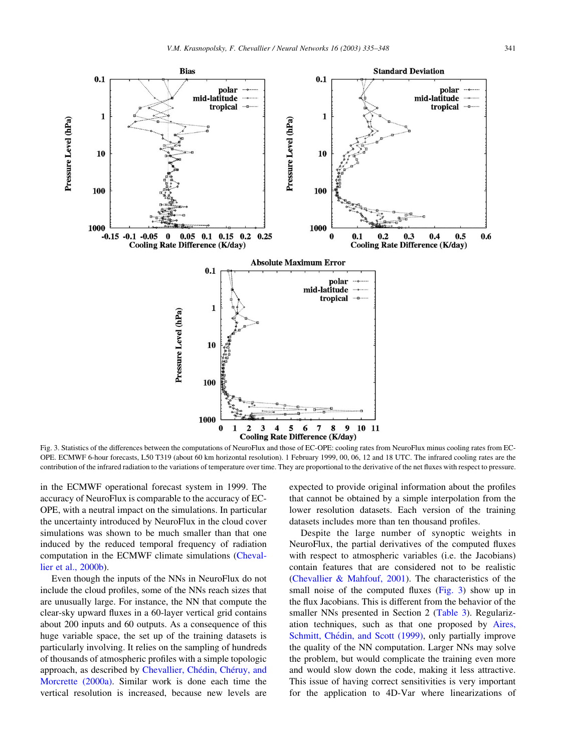

<span id="page-6-0"></span>

Fig. 3. Statistics of the differences between the computations of NeuroFlux and those of EC-OPE: cooling rates from NeuroFlux minus cooling rates from EC-OPE. ECMWF 6-hour forecasts, L50 T319 (about 60 km horizontal resolution). 1 February 1999, 00, 06, 12 and 18 UTC. The infrared cooling rates are the contribution of the infrared radiation to the variations of temperature over time. They are proportional to the derivative of the net fluxes with respect to pressure.

in the ECMWF operational forecast system in 1999. The accuracy of NeuroFlux is comparable to the accuracy of EC-OPE, with a neutral impact on the simulations. In particular the uncertainty introduced by NeuroFlux in the cloud cover simulations was shown to be much smaller than that one induced by the reduced temporal frequency of radiation computation in the ECMWF climate simulations ([Cheval](#page-12-0)[lier et al., 2000b](#page-12-0)).

Even though the inputs of the NNs in NeuroFlux do not include the cloud profiles, some of the NNs reach sizes that are unusually large. For instance, the NN that compute the clear-sky upward fluxes in a 60-layer vertical grid contains about 200 inputs and 60 outputs. As a consequence of this huge variable space, the set up of the training datasets is particularly involving. It relies on the sampling of hundreds of thousands of atmospheric profiles with a simple topologic approach, as described by Chevallier, Chédin, Chéruy, and [Morcrette \(2000a\)](#page-12-0). Similar work is done each time the vertical resolution is increased, because new levels are

expected to provide original information about the profiles that cannot be obtained by a simple interpolation from the lower resolution datasets. Each version of the training datasets includes more than ten thousand profiles.

Despite the large number of synoptic weights in NeuroFlux, the partial derivatives of the computed fluxes with respect to atmospheric variables (i.e. the Jacobians) contain features that are considered not to be realistic ([Chevallier & Mahfouf, 2001](#page-12-0)). The characteristics of the small noise of the computed fluxes (Fig. 3) show up in the flux Jacobians. This is different from the behavior of the smaller NNs presented in Section 2 ([Table 3\)](#page-4-0). Regularization techniques, such as that one proposed by [Aires,](#page-12-0) Schmitt, Chédin, and Scott (1999), only partially improve the quality of the NN computation. Larger NNs may solve the problem, but would complicate the training even more and would slow down the code, making it less attractive. This issue of having correct sensitivities is very important for the application to 4D-Var where linearizations of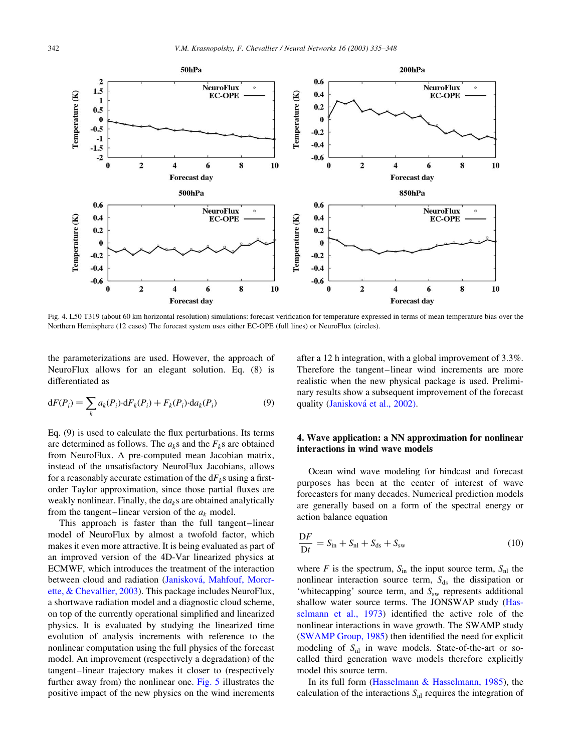

Fig. 4. L50 T319 (about 60 km horizontal resolution) simulations: forecast verification for temperature expressed in terms of mean temperature bias over the Northern Hemisphere (12 cases) The forecast system uses either EC-OPE (full lines) or NeuroFlux (circles).

the parameterizations are used. However, the approach of NeuroFlux allows for an elegant solution. Eq. (8) is differentiated as

$$
dF(P_i) = \sum_k a_k(P_i) \cdot dF_k(P_i) + F_k(P_i) \cdot da_k(P_i)
$$
\n(9)

Eq. (9) is used to calculate the flux perturbations. Its terms are determined as follows. The  $a<sub>k</sub>$ s and the  $F<sub>k</sub>$ s are obtained from NeuroFlux. A pre-computed mean Jacobian matrix, instead of the unsatisfactory NeuroFlux Jacobians, allows for a reasonably accurate estimation of the  $dF<sub>k</sub>$ s using a firstorder Taylor approximation, since those partial fluxes are weakly nonlinear. Finally, the  $da<sub>k</sub>$ s are obtained analytically from the tangent–linear version of the  $a_k$  model.

This approach is faster than the full tangent–linear model of NeuroFlux by almost a twofold factor, which makes it even more attractive. It is being evaluated as part of an improved version of the 4D-Var linearized physics at ECMWF, which introduces the treatment of the interaction between cloud and radiation (Janisková, Mahfouf, Morcr[ette, & Chevallier, 2003\)](#page-13-0). This package includes NeuroFlux, a shortwave radiation model and a diagnostic cloud scheme, on top of the currently operational simplified and linearized physics. It is evaluated by studying the linearized time evolution of analysis increments with reference to the nonlinear computation using the full physics of the forecast model. An improvement (respectively a degradation) of the tangent–linear trajectory makes it closer to (respectively further away from) the nonlinear one. [Fig. 5](#page-8-0) illustrates the positive impact of the new physics on the wind increments after a 12 h integration, with a global improvement of 3.3%. Therefore the tangent–linear wind increments are more realistic when the new physical package is used. Preliminary results show a subsequent improvement of the forecast quality (Janisková [et al., 2002\)](#page-13-0).

# 4. Wave application: a NN approximation for nonlinear interactions in wind wave models

Ocean wind wave modeling for hindcast and forecast purposes has been at the center of interest of wave forecasters for many decades. Numerical prediction models are generally based on a form of the spectral energy or action balance equation

$$
\frac{\mathbf{D}F}{\mathbf{D}t} = S_{\text{in}} + S_{\text{nl}} + S_{\text{ds}} + S_{\text{sw}}
$$
\n(10)

where F is the spectrum,  $S_{\text{in}}$  the input source term,  $S_{\text{nl}}$  the nonlinear interaction source term,  $S_{ds}$  the dissipation or 'whitecapping' source term, and  $S_{sw}$  represents additional shallow water source terms. The JONSWAP study ([Has](#page-13-0)[selmann et al., 1973](#page-13-0)) identified the active role of the nonlinear interactions in wave growth. The SWAMP study ([SWAMP Group, 1985](#page-13-0)) then identified the need for explicit modeling of  $S_{nl}$  in wave models. State-of-the-art or socalled third generation wave models therefore explicitly model this source term.

In its full form (Hasselmann  $\&$  Hasselmann, 1985), the calculation of the interactions  $S<sub>nl</sub>$  requires the integration of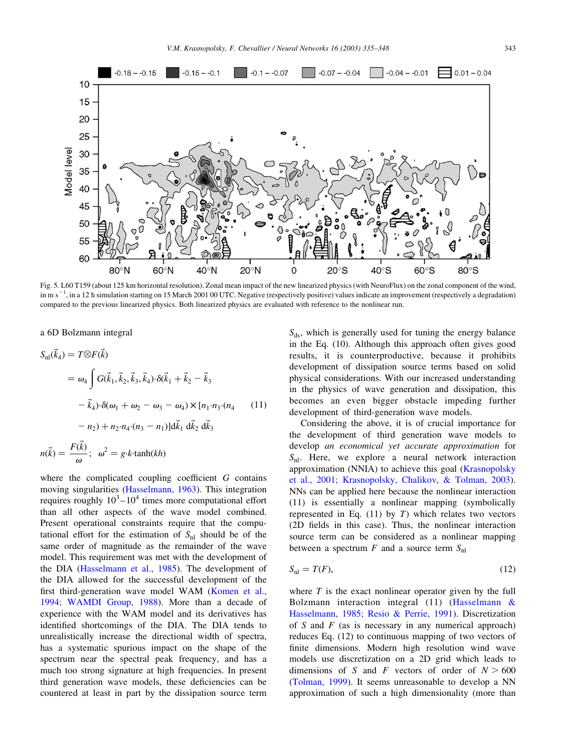<span id="page-8-0"></span>

Fig. 5. L60 T159 (about 125 km horizontal resolution). Zonal mean impact of the new linearized physics (with NeuroFlux) on the zonal component of the wind, in m  $s^{-1}$ , in a 12 h simulation starting on 15 March 2001 00 UTC. Negative (respectively positive) values indicate an improvement (respectively a degradation) compared to the previous linearized physics. Both linearized physics are evaluated with reference to the nonlinear run.

a 6D Bolzmann integral

$$
S_{\rm nl}(\vec{k}_4) = T \otimes F(\vec{k})
$$
  
=  $\omega_4 \int G(\vec{k}_1, \vec{k}_2, \vec{k}_3, \vec{k}_4) \cdot \delta(\vec{k}_1 + \vec{k}_2 - \vec{k}_3)$   
 $-\vec{k}_4 \cdot \delta(\omega_1 + \omega_2 - \omega_3 - \omega_4) \times [n_1 \cdot n_3 \cdot (n_4 \quad (11)$   
 $- n_2) + n_2 \cdot n_4 \cdot (n_3 - n_1)] d\vec{k}_1 d\vec{k}_2 d\vec{k}_3$   
 $n(\vec{k}) = \frac{F(\vec{k})}{\omega}; \ \omega^2 = g \cdot k \cdot \tanh(kh)$ 

where the complicated coupling coefficient G contains moving singularities ([Hasselmann, 1963](#page-13-0)). This integration requires roughly  $10^3 - 10^4$  times more computational effort than all other aspects of the wave model combined. Present operational constraints require that the computational effort for the estimation of  $S<sub>nl</sub>$  should be of the same order of magnitude as the remainder of the wave model. This requirement was met with the development of the DIA ([Hasselmann et al., 1985\)](#page-13-0). The development of the DIA allowed for the successful development of the first third-generation wave model WAM ([Komen et al.,](#page-13-0) [1994; WAMDI Group, 1988\)](#page-13-0). More than a decade of experience with the WAM model and its derivatives has identified shortcomings of the DIA. The DIA tends to unrealistically increase the directional width of spectra, has a systematic spurious impact on the shape of the spectrum near the spectral peak frequency, and has a much too strong signature at high frequencies. In present third generation wave models, these deficiencies can be countered at least in part by the dissipation source term

 $S_{ds}$ , which is generally used for tuning the energy balance in the Eq. (10). Although this approach often gives good results, it is counterproductive, because it prohibits development of dissipation source terms based on solid physical considerations. With our increased understanding in the physics of wave generation and dissipation, this becomes an even bigger obstacle impeding further development of third-generation wave models.

Considering the above, it is of crucial importance for the development of third generation wave models to develop an economical yet accurate approximation for  $S_{nl}$ . Here, we explore a neural network interaction approximation (NNIA) to achieve this goal [\(Krasnopolsky](#page-13-0) [et al., 2001; Krasnopolsky, Chalikov, & Tolman, 2003\)](#page-13-0). NNs can be applied here because the nonlinear interaction (11) is essentially a nonlinear mapping (symbolically represented in Eq.  $(11)$  by T) which relates two vectors (2D fields in this case). Thus, the nonlinear interaction source term can be considered as a nonlinear mapping between a spectrum  $F$  and a source term  $S<sub>nl</sub>$ 

$$
S_{\rm nl} = T(F),\tag{12}
$$

where  $T$  is the exact nonlinear operator given by the full Bolzmann interaction integral (11) ([Hasselmann &](#page-13-0) [Hasselmann, 1985; Resio & Perrie, 1991](#page-13-0)). Discretization of S and  $F$  (as is necessary in any numerical approach) reduces Eq. (12) to continuous mapping of two vectors of finite dimensions. Modern high resolution wind wave models use discretization on a 2D grid which leads to dimensions of S and F vectors of order of  $N > 600$ ([Tolman, 1999\)](#page-13-0). It seems unreasonable to develop a NN approximation of such a high dimensionality (more than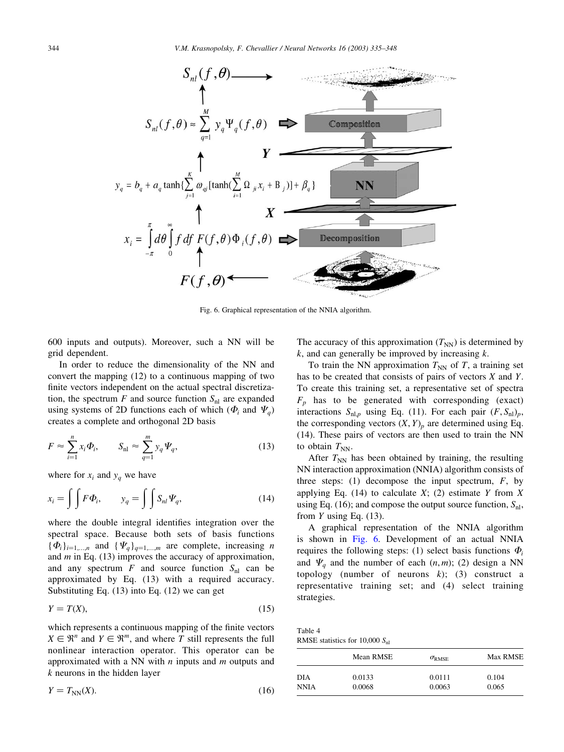<span id="page-9-0"></span>

Fig. 6. Graphical representation of the NNIA algorithm.

600 inputs and outputs). Moreover, such a NN will be grid dependent.

In order to reduce the dimensionality of the NN and convert the mapping (12) to a continuous mapping of two finite vectors independent on the actual spectral discretization, the spectrum  $F$  and source function  $S<sub>nl</sub>$  are expanded using systems of 2D functions each of which ( $\Phi_i$  and  $\Psi_a$ ) creates a complete and orthogonal 2D basis

$$
F \approx \sum_{i=1}^{n} x_i \Phi_i, \qquad S_{\rm nl} \approx \sum_{q=1}^{m} y_q \Psi_q,
$$
 (13)

where for  $x_i$  and  $y_a$  we have

$$
x_i = \iint F \Phi_i, \qquad y_q = \iint S_{nl} \Psi_q, \tag{14}
$$

where the double integral identifies integration over the spectral space. Because both sets of basis functions  ${\{\Phi_i\}}_{i=1,...,n}$  and  ${\{\Psi_q\}}_{q=1,...,m}$  are complete, increasing n and  $m$  in Eq. (13) improves the accuracy of approximation, and any spectrum  $F$  and source function  $S_{nl}$  can be approximated by Eq. (13) with a required accuracy. Substituting Eq. (13) into Eq. (12) we can get

$$
Y = T(X),\tag{15}
$$

which represents a continuous mapping of the finite vectors  $X \in \mathbb{R}^n$  and  $Y \in \mathbb{R}^m$ , and where T still represents the full nonlinear interaction operator. This operator can be approximated with a NN with  $n$  inputs and  $m$  outputs and k neurons in the hidden layer

$$
Y = T_{NN}(X). \tag{16}
$$

The accuracy of this approximation  $(T<sub>NN</sub>)$  is determined by  $k$ , and can generally be improved by increasing  $k$ .

To train the NN approximation  $T_{NN}$  of T, a training set has to be created that consists of pairs of vectors  $X$  and  $Y$ . To create this training set, a representative set of spectra  $F_p$  has to be generated with corresponding (exact) interactions  $S_{nl,p}$  using Eq. (11). For each pair  $(F, S_{nl})_p$ , the corresponding vectors  $(X, Y)$ <sub>n</sub> are determined using Eq. (14). These pairs of vectors are then used to train the NN to obtain  $T_{NN}$ .

After  $T_{NN}$  has been obtained by training, the resulting NN interaction approximation (NNIA) algorithm consists of three steps: (1) decompose the input spectrum,  $F$ , by applying Eq. (14) to calculate  $X$ ; (2) estimate Y from X using Eq. (16); and compose the output source function,  $S_{nl}$ , from  $Y$  using Eq. (13).

A graphical representation of the NNIA algorithm is shown in Fig. 6. Development of an actual NNIA requires the following steps: (1) select basis functions  $\Phi_i$ and  $\Psi_a$  and the number of each  $(n, m)$ ; (2) design a NN topology (number of neurons  $k$ ); (3) construct a representative training set; and (4) select training strategies.

| Table 4                             |  |
|-------------------------------------|--|
| RMSE statistics for 10,000 $S_{nl}$ |  |

|             | Mean RMSE | $\sigma_{\rm RMSE}$ | <b>Max RMSE</b> |
|-------------|-----------|---------------------|-----------------|
| DIA         | 0.0133    | 0.0111              | 0.104           |
| <b>NNIA</b> | 0.0068    | 0.0063              | 0.065           |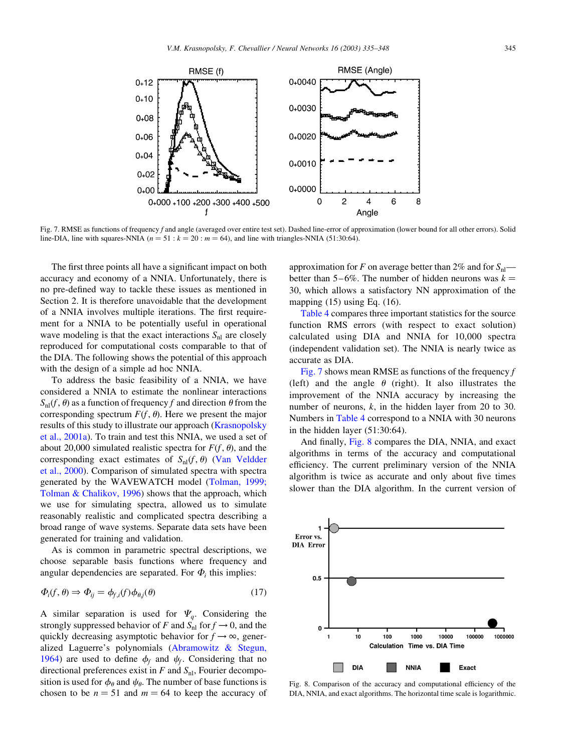

Fig. 7. RMSE as functions of frequency f and angle (averaged over entire test set). Dashed line-error of approximation (lower bound for all other errors). Solid line-DIA, line with squares-NNIA  $(n = 51 : k = 20 : m = 64)$ , and line with triangles-NNIA (51:30:64).

The first three points all have a significant impact on both accuracy and economy of a NNIA. Unfortunately, there is no pre-defined way to tackle these issues as mentioned in Section 2. It is therefore unavoidable that the development of a NNIA involves multiple iterations. The first requirement for a NNIA to be potentially useful in operational wave modeling is that the exact interactions  $S<sub>nl</sub>$  are closely reproduced for computational costs comparable to that of the DIA. The following shows the potential of this approach with the design of a simple ad hoc NNIA.

To address the basic feasibility of a NNIA, we have considered a NNIA to estimate the nonlinear interactions  $S<sub>nl</sub>(f, \theta)$  as a function of frequency f and direction  $\theta$  from the corresponding spectrum  $F(f, \theta)$ . Here we present the major results of this study to illustrate our approach [\(Krasnopolsky](#page-13-0) [et al., 2001a](#page-13-0)). To train and test this NNIA, we used a set of about 20,000 simulated realistic spectra for  $F(f, \theta)$ , and the corresponding exact estimates of  $S<sub>nl</sub>(f, \theta)$  [\(Van Veldder](#page-13-0) [et al., 2000\)](#page-13-0). Comparison of simulated spectra with spectra generated by the WAVEWATCH model ([Tolman, 1999;](#page-13-0) [Tolman & Chalikov, 1996\)](#page-13-0) shows that the approach, which we use for simulating spectra, allowed us to simulate reasonably realistic and complicated spectra describing a broad range of wave systems. Separate data sets have been generated for training and validation.

As is common in parametric spectral descriptions, we choose separable basis functions where frequency and angular dependencies are separated. For  $\Phi_i$  this implies:

$$
\Phi_i(f,\theta) \Rightarrow \Phi_{ij} = \phi_{f,i}(f)\phi_{\theta,j}(\theta) \tag{17}
$$

A similar separation is used for  $\Psi_q$ . Considering the strongly suppressed behavior of F and  $S<sub>nl</sub>$  for  $f \rightarrow 0$ , and the quickly decreasing asymptotic behavior for  $f \rightarrow \infty$ , generalized Laguerre's polynomials [\(Abramowitz & Stegun,](#page-12-0) [1964](#page-12-0)) are used to define  $\phi_f$  and  $\psi_f$ . Considering that no directional preferences exist in  $F$  and  $S<sub>nl</sub>$ , Fourier decomposition is used for  $\phi_\theta$  and  $\psi_\theta$ . The number of base functions is chosen to be  $n = 51$  and  $m = 64$  to keep the accuracy of approximation for F on average better than 2% and for  $S_{nl}$  better than 5–6%. The number of hidden neurons was  $k =$ 30; which allows a satisfactory NN approximation of the mapping  $(15)$  using Eq.  $(16)$ .

[Table 4](#page-9-0) compares three important statistics for the source function RMS errors (with respect to exact solution) calculated using DIA and NNIA for 10,000 spectra (independent validation set). The NNIA is nearly twice as accurate as DIA.

Fig. 7 shows mean RMSE as functions of the frequency  $f$ (left) and the angle  $\theta$  (right). It also illustrates the improvement of the NNIA accuracy by increasing the number of neurons,  $k$ , in the hidden layer from 20 to 30. Numbers in [Table 4](#page-9-0) correspond to a NNIA with 30 neurons in the hidden layer (51:30:64).

And finally, Fig. 8 compares the DIA, NNIA, and exact algorithms in terms of the accuracy and computational efficiency. The current preliminary version of the NNIA algorithm is twice as accurate and only about five times slower than the DIA algorithm. In the current version of



Fig. 8. Comparison of the accuracy and computational efficiency of the DIA, NNIA, and exact algorithms. The horizontal time scale is logarithmic.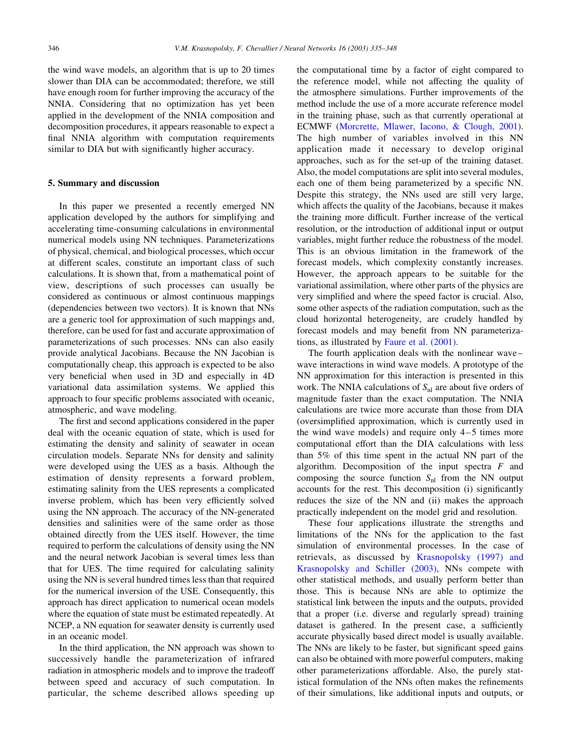the wind wave models, an algorithm that is up to 20 times slower than DIA can be accommodated; therefore, we still have enough room for further improving the accuracy of the NNIA. Considering that no optimization has yet been applied in the development of the NNIA composition and decomposition procedures, it appears reasonable to expect a final NNIA algorithm with computation requirements similar to DIA but with significantly higher accuracy.

## 5. Summary and discussion

In this paper we presented a recently emerged NN application developed by the authors for simplifying and accelerating time-consuming calculations in environmental numerical models using NN techniques. Parameterizations of physical, chemical, and biological processes, which occur at different scales, constitute an important class of such calculations. It is shown that, from a mathematical point of view, descriptions of such processes can usually be considered as continuous or almost continuous mappings (dependencies between two vectors). It is known that NNs are a generic tool for approximation of such mappings and, therefore, can be used for fast and accurate approximation of parameterizations of such processes. NNs can also easily provide analytical Jacobians. Because the NN Jacobian is computationally cheap, this approach is expected to be also very beneficial when used in 3D and especially in 4D variational data assimilation systems. We applied this approach to four specific problems associated with oceanic, atmospheric, and wave modeling.

The first and second applications considered in the paper deal with the oceanic equation of state, which is used for estimating the density and salinity of seawater in ocean circulation models. Separate NNs for density and salinity were developed using the UES as a basis. Although the estimation of density represents a forward problem, estimating salinity from the UES represents a complicated inverse problem, which has been very efficiently solved using the NN approach. The accuracy of the NN-generated densities and salinities were of the same order as those obtained directly from the UES itself. However, the time required to perform the calculations of density using the NN and the neural network Jacobian is several times less than that for UES. The time required for calculating salinity using the NN is several hundred times less than that required for the numerical inversion of the USE. Consequently, this approach has direct application to numerical ocean models where the equation of state must be estimated repeatedly. At NCEP, a NN equation for seawater density is currently used in an oceanic model.

In the third application, the NN approach was shown to successively handle the parameterization of infrared radiation in atmospheric models and to improve the tradeoff between speed and accuracy of such computation. In particular, the scheme described allows speeding up

the computational time by a factor of eight compared to the reference model, while not affecting the quality of the atmosphere simulations. Further improvements of the method include the use of a more accurate reference model in the training phase, such as that currently operational at ECMWF [\(Morcrette, Mlawer, Iacono, & Clough, 2001\)](#page-13-0). The high number of variables involved in this NN application made it necessary to develop original approaches, such as for the set-up of the training dataset. Also, the model computations are split into several modules, each one of them being parameterized by a specific NN. Despite this strategy, the NNs used are still very large, which affects the quality of the Jacobians, because it makes the training more difficult. Further increase of the vertical resolution, or the introduction of additional input or output variables, might further reduce the robustness of the model. This is an obvious limitation in the framework of the forecast models, which complexity constantly increases. However, the approach appears to be suitable for the variational assimilation, where other parts of the physics are very simplified and where the speed factor is crucial. Also, some other aspects of the radiation computation, such as the cloud horizontal heterogeneity, are crudely handled by forecast models and may benefit from NN parameterizations, as illustrated by [Faure et al. \(2001\)](#page-13-0).

The fourth application deals with the nonlinear wave– wave interactions in wind wave models. A prototype of the NN approximation for this interaction is presented in this work. The NNIA calculations of  $S<sub>nl</sub>$  are about five orders of magnitude faster than the exact computation. The NNIA calculations are twice more accurate than those from DIA (oversimplified approximation, which is currently used in the wind wave models) and require only 4–5 times more computational effort than the DIA calculations with less than 5% of this time spent in the actual NN part of the algorithm. Decomposition of the input spectra  $F$  and composing the source function  $S<sub>nl</sub>$  from the NN output accounts for the rest. This decomposition (i) significantly reduces the size of the NN and (ii) makes the approach practically independent on the model grid and resolution.

These four applications illustrate the strengths and limitations of the NNs for the application to the fast simulation of environmental processes. In the case of retrievals, as discussed by [Krasnopolsky \(1997\) and](#page-13-0) [Krasnopolsky and Schiller \(2003\),](#page-13-0) NNs compete with other statistical methods, and usually perform better than those. This is because NNs are able to optimize the statistical link between the inputs and the outputs, provided that a proper (i.e. diverse and regularly spread) training dataset is gathered. In the present case, a sufficiently accurate physically based direct model is usually available. The NNs are likely to be faster, but significant speed gains can also be obtained with more powerful computers, making other parameterizations affordable. Also, the purely statistical formulation of the NNs often makes the refinements of their simulations, like additional inputs and outputs, or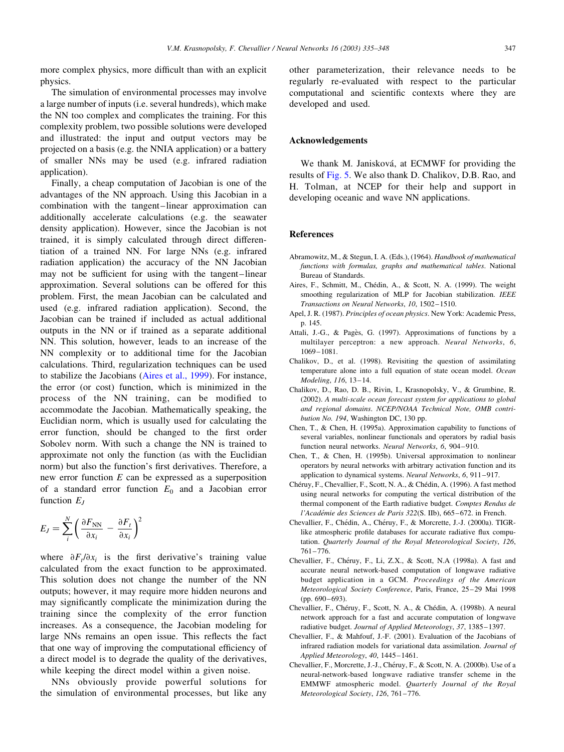<span id="page-12-0"></span>more complex physics, more difficult than with an explicit physics.

The simulation of environmental processes may involve a large number of inputs (i.e. several hundreds), which make the NN too complex and complicates the training. For this complexity problem, two possible solutions were developed and illustrated: the input and output vectors may be projected on a basis (e.g. the NNIA application) or a battery of smaller NNs may be used (e.g. infrared radiation application).

Finally, a cheap computation of Jacobian is one of the advantages of the NN approach. Using this Jacobian in a combination with the tangent–linear approximation can additionally accelerate calculations (e.g. the seawater density application). However, since the Jacobian is not trained, it is simply calculated through direct differentiation of a trained NN. For large NNs (e.g. infrared radiation application) the accuracy of the NN Jacobian may not be sufficient for using with the tangent–linear approximation. Several solutions can be offered for this problem. First, the mean Jacobian can be calculated and used (e.g. infrared radiation application). Second, the Jacobian can be trained if included as actual additional outputs in the NN or if trained as a separate additional NN. This solution, however, leads to an increase of the NN complexity or to additional time for the Jacobian calculations. Third, regularization techniques can be used to stabilize the Jacobians (Aires et al., 1999). For instance, the error (or cost) function, which is minimized in the process of the NN training, can be modified to accommodate the Jacobian. Mathematically speaking, the Euclidian norm, which is usually used for calculating the error function, should be changed to the first order Sobolev norm. With such a change the NN is trained to approximate not only the function (as with the Euclidian norm) but also the function's first derivatives. Therefore, a new error function  $E$  can be expressed as a superposition of a standard error function  $E_0$  and a Jacobian error function  $E_I$ 

$$
E_J = \sum_{i}^{N} \left( \frac{\partial F_{\text{NN}}}{\partial x_i} - \frac{\partial F_t}{\partial x_i} \right)^2
$$

where  $\partial F_t/\partial x_i$  is the first derivative's training value calculated from the exact function to be approximated. This solution does not change the number of the NN outputs; however, it may require more hidden neurons and may significantly complicate the minimization during the training since the complexity of the error function increases. As a consequence, the Jacobian modeling for large NNs remains an open issue. This reflects the fact that one way of improving the computational efficiency of a direct model is to degrade the quality of the derivatives, while keeping the direct model within a given noise.

NNs obviously provide powerful solutions for the simulation of environmental processes, but like any

other parameterization, their relevance needs to be regularly re-evaluated with respect to the particular computational and scientific contexts where they are developed and used.

## Acknowledgements

We thank M. Janisková, at ECMWF for providing the results of [Fig. 5](#page-8-0). We also thank D. Chalikov, D.B. Rao, and H. Tolman, at NCEP for their help and support in developing oceanic and wave NN applications.

#### References

- Abramowitz, M., & Stegun, I. A. (Eds.), (1964). Handbook of mathematical functions with formulas, graphs and mathematical tables. National Bureau of Standards.
- Aires, F., Schmitt, M., Chédin, A., & Scott, N. A. (1999). The weight smoothing regularization of MLP for Jacobian stabilization. IEEE Transactions on Neural Networks, 10, 1502–1510.
- Apel, J. R. (1987). Principles of ocean physics. New York: Academic Press, p. 145.
- Attali, J.-G., & Pagès, G. (1997). Approximations of functions by a multilayer perceptron: a new approach. Neural Networks, 6, 1069–1081.
- Chalikov, D., et al. (1998). Revisiting the question of assimilating temperature alone into a full equation of state ocean model. Ocean Modeling, 116, 13–14.
- Chalikov, D., Rao, D. B., Rivin, I., Krasnopolsky, V., & Grumbine, R. (2002). A multi-scale ocean forecast system for applications to global and regional domains. NCEP/NOAA Technical Note, OMB contribution No. 194, Washington DC, 130 pp.
- Chen, T., & Chen, H. (1995a). Approximation capability to functions of several variables, nonlinear functionals and operators by radial basis function neural networks. Neural Networks, 6, 904–910.
- Chen, T., & Chen, H. (1995b). Universal approximation to nonlinear operators by neural networks with arbitrary activation function and its application to dynamical systems. Neural Networks, 6, 911–917.
- Chéruy, F., Chevallier, F., Scott, N. A., & Chédin, A. (1996). A fast method using neural networks for computing the vertical distribution of the thermal component of the Earth radiative budget. Comptes Rendus de l'Académie des Sciences de Paris 322(S. IIb), 665-672. in French.
- Chevallier, F., Chédin, A., Chéruy, F., & Morcrette, J.-J. (2000a). TIGRlike atmospheric profile databases for accurate radiative flux computation. Quarterly Journal of the Royal Meteorological Society, 126, 761–776.
- Chevallier, F., Chéruy, F., Li, Z.X., & Scott, N.A (1998a). A fast and accurate neural network-based computation of longwave radiative budget application in a GCM. Proceedings of the American Meteorological Society Conference, Paris, France, 25–29 Mai 1998 (pp. 690–693).
- Chevallier, F., Chéruy, F., Scott, N. A., & Chédin, A. (1998b). A neural network approach for a fast and accurate computation of longwave radiative budget. Journal of Applied Meteorology, 37, 1385–1397.
- Chevallier, F., & Mahfouf, J.-F. (2001). Evaluation of the Jacobians of infrared radiation models for variational data assimilation. Journal of Applied Meteorology, 40, 1445–1461.
- Chevallier, F., Morcrette, J.-J., Chéruy, F., & Scott, N. A. (2000b). Use of a neural-network-based longwave radiative transfer scheme in the EMMWF atmospheric model. Quarterly Journal of the Royal Meteorological Society, 126, 761–776.